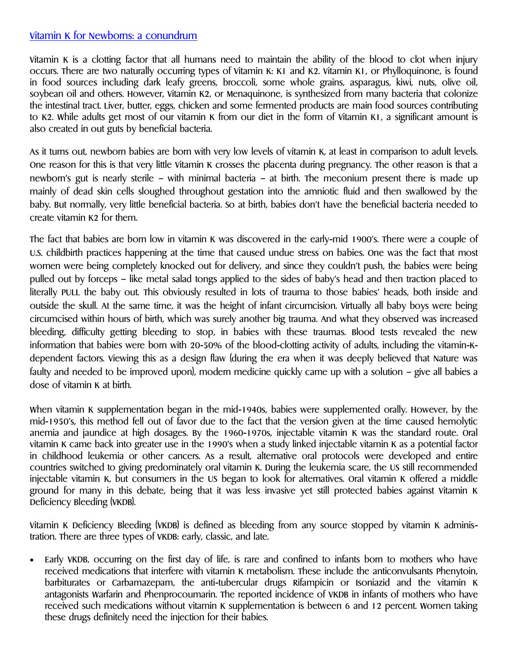## Vitamin K for Newborns: a conundrum

Vitamin K is a clotting factor that all humans need to maintain the ability of the blood to clot when injury occurs. There are two naturally occurring types of Vitamin K: K1 and K2. Vitamin K1, or Phylloquinone, is found in food sources including dark leafy greens, broccoli, some whole grains, asparagus, kiwi, nuts, olive oil, soybean oil and others. However, Vitamin K2, or Menaquinone, is synthesized from many bacteria that colonize the intestinal tract. Liver, butter, eggs, chicken and some fermented products are main food sources contributing to K2. While adults get most of our vitamin K from our diet in the form of Vitamin K1, a significant amount is also created in out guts by beneficial bacteria.

As it turns out, newborn babies are born with very low levels of vitamin K, at least in comparison to adult levels. One reason for this is that very little Vitamin K crosses the placenta during pregnancy. The other reason is that a newborn's gut is nearly sterile – with minimal bacteria – at birth. The meconium present there is made up mainly of dead skin cells sloughed throughout gestation into the amniotic fluid and then swallowed by the baby. But normally, very little beneficial bacteria. So at birth, babies don't have the beneficial bacteria needed to create vitamin K2 for them.

The fact that babies are born low in vitamin K was discovered in the early-mid 1900's. There were a couple of U.S. childbirth practices happening at the time that caused undue stress on babies. One was the fact that most women were being completely knocked out for delivery, and since they couldn't push, the babies were being pulled out by forceps – like metal salad tongs applied to the sides of baby's head and then traction placed to literally PULL the baby out. This obviously resulted in lots of trauma to those babies' heads, both inside and outside the skull. At the same time, it was the height of infant circumcision. Virtually all baby boys were being circumcised within hours of birth, which was surely another big trauma. And what they observed was increased bleeding, difficulty getting bleeding to stop, in babies with these traumas. Blood tests revealed the new information that babies were born with 20-50% of the blood-clotting activity of adults, including the vitamin-Kdependent factors. Viewing this as a design flaw (during the era when it was deeply believed that Nature was faulty and needed to be improved upon), modern medicine quickly came up with a solution – give all babies a dose of vitamin K at birth.

When vitamin K supplementation began in the mid-1940s, babies were supplemented orally. However, by the mid-1950's, this method fell out of favor due to the fact that the version given at the time caused hemolytic anemia and jaundice at high dosages. By the 1960-1970s, injectable vitamin K was the standard route. Oral vitamin K came back into greater use in the 1990's when a study linked injectable vitamin K as a potential factor in childhood leukemia or other cancers. As a result, alternative oral protocols were developed and entire countries switched to giving predominately oral vitamin K. During the leukemia scare, the US still recommended injectable vitamin K, but consumers in the US began to look for alternatives. Oral vitamin K offered a middle ground for many in this debate, being that it was less invasive yet still protected babies against Vitamin K Deficiency Bleeding (VKDB).

Vitamin K Deficiency Bleeding (VKDB) is defined as bleeding from any source stopped by vitamin K administration. There are three types of VKDB: early, classic, and late.

 Early VKDB, occurring on the first day of life, is rare and confined to infants born to mothers who have received medications that interfere with vitamin K metabolism. These include the anticonvulsants Phenytoin, barbiturates or Carbamazepam, the anti-tubercular drugs Rifampicin or Isoniazid and the vitamin K antagonists Warfarin and Phenprocoumarin. The reported incidence of VKDB in infants of mothers who have received such medications without vitamin K supplementation is between 6 and 12 percent. Women taking these drugs definitely need the injection for their babies.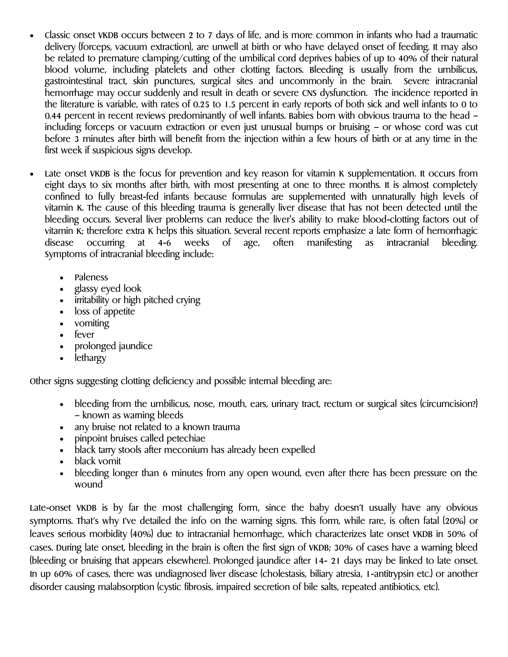- Classic onset VKDB occurs between 2 to 7 days of life, and is more common in infants who had a traumatic delivery (forceps, vacuum extraction), are unwell at birth or who have delayed onset of feeding. It may also be related to premature clamping/cutting of the umbilical cord deprives babies of up to 40% of their natural blood volume, including platelets and other clotting factors. Bleeding is usually from the umbilicus, gastrointestinal tract, skin punctures, surgical sites and uncommonly in the brain. Severe intracranial hemorrhage may occur suddenly and result in death or severe CNS dysfunction. The incidence reported in the literature is variable, with rates of 0.25 to 1.5 percent in early reports of both sick and well infants to 0 to 0.44 percent in recent reviews predominantly of well infants. Babies born with obvious trauma to the head – including forceps or vacuum extraction or even just unusual bumps or bruising – or whose cord was cut before 3 minutes after birth will benefit from the injection within a few hours of birth or at any time in the first week if suspicious signs develop.
- Late onset VKDB is the focus for prevention and key reason for vitamin K supplementation. It occurs from eight days to six months after birth, with most presenting at one to three months. It is almost completely confined to fully breast-fed infants because formulas are supplemented with unnaturally high levels of vitamin K. The cause of this bleeding trauma is generally liver disease that has not been detected until the bleeding occurs. Several liver problems can reduce the liver's ability to make blood-clotting factors out of vitamin K; therefore extra K helps this situation. Several recent reports emphasize a late form of hemorrhagic disease occurring at 4-6 weeks of age, often manifesting as intracranial bleeding. Symptoms of intracranial bleeding include:
	- Paleness
	- glassy eyed look
	- irritability or high pitched crying
	- loss of appetite
	- vomiting
	- fever
	- prolonged jaundice
	- lethargy

Other signs suggesting clotting deficiency and possible internal bleeding are:

- bleeding from the umbilicus, nose, mouth, ears, urinary tract, rectum or surgical sites (circumcision?) – known as warning bleeds
- any bruise not related to a known trauma
- pinpoint bruises called petechiae
- black tarry stools after meconium has already been expelled
- black vomit
- bleeding longer than 6 minutes from any open wound, even after there has been pressure on the wound

Late-onset VKDB is by far the most challenging form, since the baby doesn't usually have any obvious symptoms. That's why I've detailed the info on the warning signs. This form, while rare, is often fatal (20%) or leaves serious morbidity (40%) due to intracranial hemorrhage, which characterizes late onset VKDB in 50% of cases. During late onset, bleeding in the brain is often the first sign of VKDB; 30% of cases have a warning bleed (bleeding or bruising that appears elsewhere). Prolonged jaundice after 14- 21 days may be linked to late onset. In up 60% of cases, there was undiagnosed liver disease (cholestasis, biliary atresia, 1-antitrypsin etc.) or another disorder causing malabsorption (cystic fibrosis, impaired secretion of bile salts, repeated antibiotics, etc).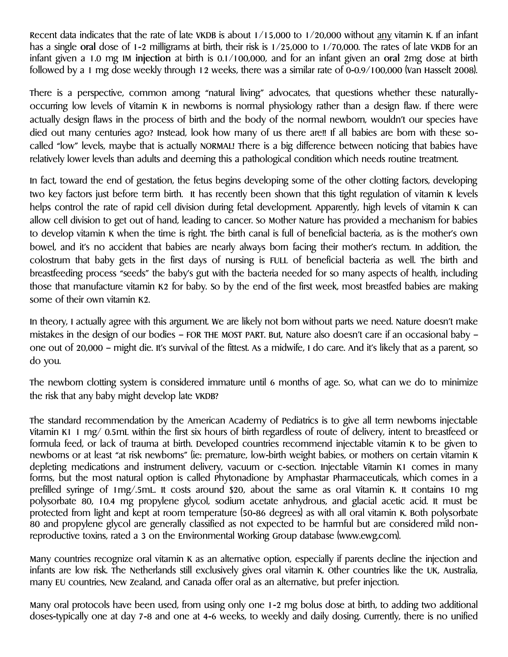Recent data indicates that the rate of late VKDB is about  $1/15,000$  to  $1/20,000$  without any vitamin K. If an infant has a single **oral** dose of 1-2 milligrams at birth, their risk is 1/25,000 to 1/70,000. The rates of late VKDB for an infant given a 1.0 mg IM **injection** at birth is 0.1/100,000, and for an infant given an **oral** 2mg dose at birth followed by a 1 mg dose weekly through 12 weeks, there was a similar rate of 0-0.9/100,000 (Van Hasselt 2008).

There is a perspective, common among "natural living" advocates, that questions whether these naturallyoccurring low levels of Vitamin K in newborns is normal physiology rather than a design flaw. If there were actually design flaws in the process of birth and the body of the normal newborn, wouldn't our species have died out many centuries ago? Instead, look how many of us there are!! If all babies are born with these socalled "low" levels, maybe that is actually NORMAL! There is a big difference between noticing that babies have relatively lower levels than adults and deeming this a pathological condition which needs routine treatment.

In fact, toward the end of gestation, the fetus begins developing some of the other clotting factors, developing two key factors just before term birth. It has recently been shown that this tight regulation of vitamin K levels helps control the rate of rapid cell division during fetal development. Apparently, high levels of vitamin K can allow cell division to get out of hand, leading to cancer. So Mother Nature has provided a mechanism for babies to develop vitamin K when the time is right. The birth canal is full of beneficial bacteria, as is the mother's own bowel, and it's no accident that babies are nearly always born facing their mother's rectum. In addition, the colostrum that baby gets in the first days of nursing is FULL of beneficial bacteria as well. The birth and breastfeeding process "seeds" the baby's gut with the bacteria needed for so many aspects of health, including those that manufacture vitamin K2 for baby. So by the end of the first week, most breastfed babies are making some of their own vitamin K2.

In theory, I actually agree with this argument. We are likely not born without parts we need. Nature doesn't make mistakes in the design of our bodies – FOR THE MOST PART. But, Nature also doesn't care if an occasional baby – one out of 20,000 – might die. It's survival of the fittest. As a midwife, I do care. And it's likely that as a parent, so do you.

The newborn clotting system is considered immature until 6 months of age. So, what can we do to minimize the risk that any baby might develop late VKDB?

The standard recommendation by the American Academy of Pediatrics is to give all term newborns injectable Vitamin K1 1 mg/ 0.5mL within the first six hours of birth regardless of route of delivery, intent to breastfeed or formula feed, or lack of trauma at birth. Developed countries recommend injectable vitamin K to be given to newborns or at least "at risk newborns" (ie: premature, low-birth weight babies, or mothers on certain vitamin K depleting medications and instrument delivery, vacuum or c-section. Injectable Vitamin K1 comes in many forms, but the most natural option is called Phytonadione by Amphastar Pharmaceuticals, which comes in a prefilled syringe of 1mg/.5mL. It costs around \$20, about the same as oral Vitamin K. It contains 10 mg polysorbate 80, 10.4 mg propylene glycol, sodium acetate anhydrous, and glacial acetic acid. It must be protected from light and kept at room temperature (50-86 degrees) as with all oral vitamin K. Both polysorbate 80 and propylene glycol are generally classified as not expected to be harmful but are considered mild nonreproductive toxins, rated a 3 on the Environmental Working Group database (www.ewg.com).

Many countries recognize oral vitamin K as an alternative option, especially if parents decline the injection and infants are low risk. The Netherlands still exclusively gives oral vitamin K. Other countries like the UK, Australia, many EU countries, New Zealand, and Canada offer oral as an alternative, but prefer injection.

Many oral protocols have been used, from using only one 1-2 mg bolus dose at birth, to adding two additional doses-typically one at day 7-8 and one at 4-6 weeks, to weekly and daily dosing. Currently, there is no unified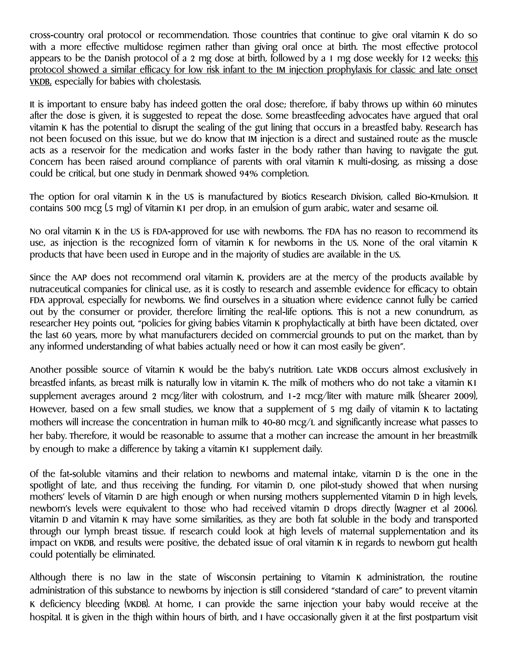cross-country oral protocol or recommendation. Those countries that continue to give oral vitamin K do so with a more effective multidose regimen rather than giving oral once at birth. The most effective protocol appears to be the Danish protocol of a 2 mg dose at birth, followed by a 1 mg dose weekly for 12 weeks; this protocol showed a similar efficacy for low risk infant to the IM injection prophylaxis for classic and late onset VKDB, especially for babies with cholestasis.

It is important to ensure baby has indeed gotten the oral dose; therefore, if baby throws up within 60 minutes after the dose is given, it is suggested to repeat the dose. Some breastfeeding advocates have argued that oral vitamin K has the potential to disrupt the sealing of the gut lining that occurs in a breastfed baby. Research has not been focused on this issue, but we do know that IM injection is a direct and sustained route as the muscle acts as a reservoir for the medication and works faster in the body rather than having to navigate the gut. Concern has been raised around compliance of parents with oral vitamin K multi-dosing, as missing a dose could be critical, but one study in Denmark showed 94% completion.

The option for oral vitamin K in the US is manufactured by Biotics Research Division, called Bio-Kmulsion. It contains 500 mcg (.5 mg) of Vitamin K1 per drop, in an emulsion of gum arabic, water and sesame oil.

No oral vitamin K in the US is FDA-approved for use with newborns. The FDA has no reason to recommend its use, as injection is the recognized form of vitamin K for newborns in the US. None of the oral vitamin K products that have been used in Europe and in the majority of studies are available in the US.

Since the AAP does not recommend oral vitamin K, providers are at the mercy of the products available by nutraceutical companies for clinical use, as it is costly to research and assemble evidence for efficacy to obtain FDA approval, especially for newborns. We find ourselves in a situation where evidence cannot fully be carried out by the consumer or provider, therefore limiting the real-life options. This is not a new conundrum, as researcher Hey points out, "policies for giving babies Vitamin K prophylactically at birth have been dictated, over the last 60 years, more by what manufacturers decided on commercial grounds to put on the market, than by any informed understanding of what babies actually need or how it can most easily be given".

Another possible source of Vitamin K would be the baby's nutrition. Late VKDB occurs almost exclusively in breastfed infants, as breast milk is naturally low in vitamin K. The milk of mothers who do not take a vitamin K1 supplement averages around 2 mcg/liter with colostrum, and 1-2 mcg/liter with mature milk (Shearer 2009), However, based on a few small studies, we know that a supplement of 5 mg daily of vitamin K to lactating mothers will increase the concentration in human milk to 40-80 mcg/L and significantly increase what passes to her baby. Therefore, it would be reasonable to assume that a mother can increase the amount in her breastmilk by enough to make a difference by taking a vitamin K1 supplement daily.

Of the fat-soluble vitamins and their relation to newborns and maternal intake, vitamin D is the one in the spotlight of late, and thus receiving the funding. For vitamin D, one pilot-study showed that when nursing mothers' levels of Vitamin D are high enough or when nursing mothers supplemented Vitamin D in high levels, newborn's levels were equivalent to those who had received vitamin D drops directly (Wagner et al 2006). Vitamin D and Vitamin K may have some similarities, as they are both fat soluble in the body and transported through our lymph breast tissue. If research could look at high levels of maternal supplementation and its impact on VKDB, and results were positive, the debated issue of oral vitamin K in regards to newborn gut health could potentially be eliminated.

Although there is no law in the state of Wisconsin pertaining to Vitamin K administration, the routine administration of this substance to newborns by injection is still considered "standard of care" to prevent vitamin K deficiency bleeding (VKDB). At home, I can provide the same injection your baby would receive at the hospital. It is given in the thigh within hours of birth, and I have occasionally given it at the first postpartum visit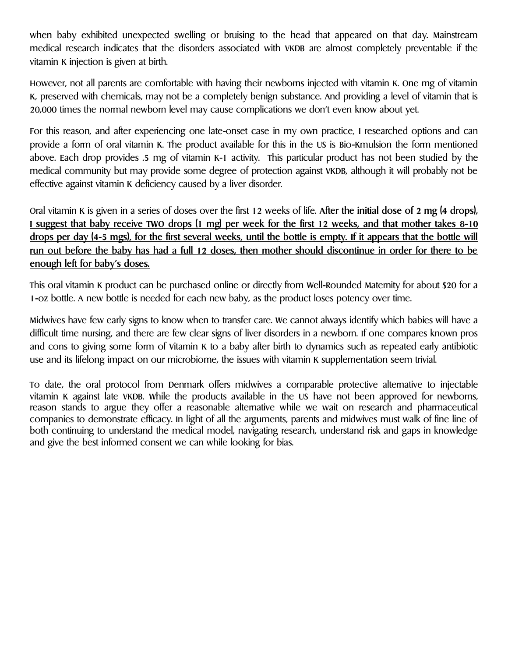when baby exhibited unexpected swelling or bruising to the head that appeared on that day. Mainstream medical research indicates that the disorders associated with VKDB are almost completely preventable if the vitamin K injection is given at birth.

However, not all parents are comfortable with having their newborns injected with vitamin K. One mg of vitamin K, preserved with chemicals, may not be a completely benign substance. And providing a level of vitamin that is 20,000 times the normal newborn level may cause complications we don't even know about yet.

For this reason, and after experiencing one late-onset case in my own practice, I researched options and can provide a form of oral vitamin K. The product available for this in the US is Bio-Kmulsion the form mentioned above. Each drop provides .5 mg of vitamin K-1 activity. This particular product has not been studied by the medical community but may provide some degree of protection against VKDB, although it will probably not be effective against vitamin K deficiency caused by a liver disorder.

Oral vitamin K is given in a series of doses over the first 12 weeks of life. **After the initial dose of 2 mg (4 drops), I suggest that baby receive TWO drops (1 mg) per week for the first 12 weeks, and that mother takes 8-10 drops per day (4-5 mgs), for the first several weeks, until the bottle is empty. If it appears that the bottle will run out before the baby has had a full 12 doses, then mother should discontinue in order for there to be enough left for baby's doses.**

This oral vitamin K product can be purchased online or directly from Well-Rounded Maternity for about \$20 for a 1-oz bottle. A new bottle is needed for each new baby, as the product loses potency over time.

Midwives have few early signs to know when to transfer care. We cannot always identify which babies will have a difficult time nursing, and there are few clear signs of liver disorders in a newborn. If one compares known pros and cons to giving some form of Vitamin K to a baby after birth to dynamics such as repeated early antibiotic use and its lifelong impact on our microbiome, the issues with vitamin K supplementation seem trivial.

To date, the oral protocol from Denmark offers midwives a comparable protective alternative to injectable vitamin K against late VKDB. While the products available in the US have not been approved for newborns, reason stands to argue they offer a reasonable alternative while we wait on research and pharmaceutical companies to demonstrate efficacy. In light of all the arguments, parents and midwives must walk of fine line of both continuing to understand the medical model, navigating research, understand risk and gaps in knowledge and give the best informed consent we can while looking for bias.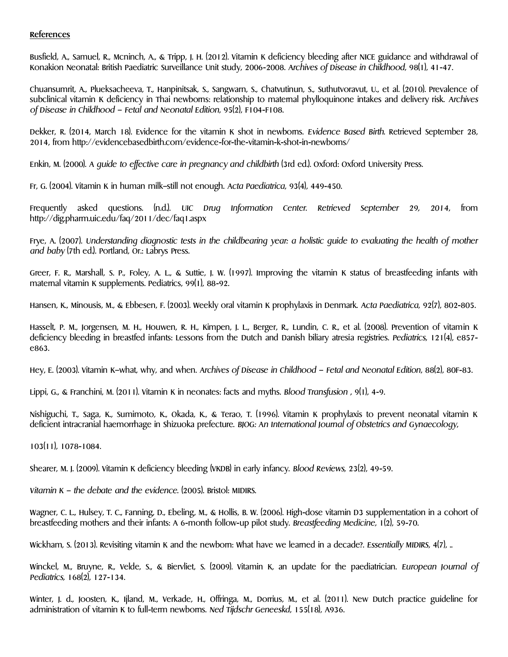## **References**

Busfield, A., Samuel, R., Mcninch, A., & Tripp, J. H. (2012). Vitamin K deficiency bleeding after NICE guidance and withdrawal of Konakion Neonatal: British Paediatric Surveillance Unit study, 2006-2008. *Archives of Disease in Childhood*, 98(1), 41-47.

Chuansumrit, A., Plueksacheeva, T., Hanpinitsak, S., Sangwarn, S., Chatvutinun, S., Suthutvoravut, U., et al. (2010). Prevalence of subclinical vitamin K deficiency in Thai newborns: relationship to maternal phylloquinone intakes and delivery risk. *Archives of Disease in Childhood – Fetal and Neonatal Edition*, 95(2), F104-F108.

Dekker, R. (2014, March 18). Evidence for the vitamin K shot in newborns. *Evidence Based Birth*. Retrieved September 28, 2014, from http://evidencebasedbirth.com/evidence-for-the-vitamin-k-shot-in-newborns/

Enkin, M. (2000). *A guide to effective care in pregnancy and childbirth* (3rd ed.). Oxford: Oxford University Press.

Fr, G. (2004). Vitamin K in human milk–still not enough. *Acta Paediatrica*, 93(4), 449-450.

Frequently asked questions. (n.d.). *UIC Drug Information Center. Retrieved September 29, 2014*, from http://dig.pharm.uic.edu/faq/2011/dec/faq1.aspx

Frye, A. (2007). *Understanding diagnostic tests in the childbearing year: a holistic guide to evaluating the health of mother and baby* (7th ed.). Portland, Or.: Labrys Press.

Greer, F. R., Marshall, S. P., Foley, A. L., & Suttie, J. W. (1997). Improving the vitamin K status of breastfeeding infants with maternal vitamin K supplements. Pediatrics, 99(1), 88-92.

Hansen, K., Minousis, M., & Ebbesen, F. (2003). Weekly oral vitamin K prophylaxis in Denmark. *Acta Paediatrica*, 92(7), 802-805.

Hasselt, P. M., Jorgensen, M. H., Houwen, R. H., Kimpen, J. L., Berger, R., Lundin, C. R., et al. (2008). Prevention of vitamin K deficiency bleeding in breastfed infants: Lessons from the Dutch and Danish biliary atresia registries. *Pediatrics*, 121(4), e857 e863.

Hey, E. (2003). Vitamin K–what, why, and when. *Archives of Disease in Childhood – Fetal and Neonatal Edition*, 88(2), 80F-83.

Lippi, G., & Franchini, M. (2011). Vitamin K in neonates: facts and myths. *Blood Transfusion* , 9(1), 4-9.

Nishiguchi, T., Saga, K., Sumimoto, K., Okada, K., & Terao, T. (1996). Vitamin K prophylaxis to prevent neonatal vitamin K deficient intracranial haemorrhage in Shizuoka prefecture. *BJOG: An International Journal of Obstetrics and Gynaecology*,

103(11), 1078-1084.

Shearer, M. J. (2009). Vitamin K deficiency bleeding (VKDB) in early infancy. *Blood Reviews*, 23(2), 49-59.

*Vitamin K – the debate and the evidence.* (2005). Bristol: MIDIRS.

Wagner, C. L., Hulsey, T. C., Fanning, D., Ebeling, M., & Hollis, B. W. (2006). High-dose vitamin D3 supplementation in a cohort of breastfeeding mothers and their infants: A 6-month follow-up pilot study. *Breastfeeding Medicine*, 1(2), 59-70.

Wickham, S. (2013). Revisiting vitamin K and the newborn: What have we learned in a decade?. *Essentially MIDIRS*, 4(7), ..

Winckel, M., Bruyne, R., Velde, S., & Biervliet, S. (2009). Vitamin K, an update for the paediatrician. *European Journal of Pediatrics,* 168(2), 127-134.

Winter, J. d., Joosten, K., Ijland, M., Verkade, H., Offringa, M., Dorrius, M., et al. (2011). New Dutch practice guideline for administration of vitamin K to full-term newborns. *Ned Tijdschr Geneeskd*, 155(18), A936.